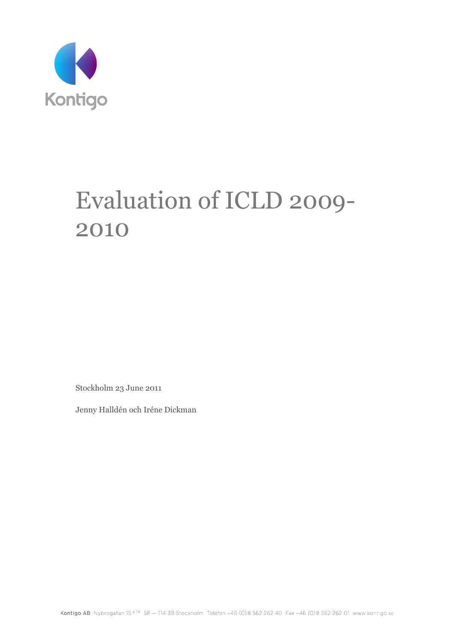

# Evaluation of ICLD 2009- 2010

Stockholm 23 June 2011

Jenny Halldén och Iréne Dickman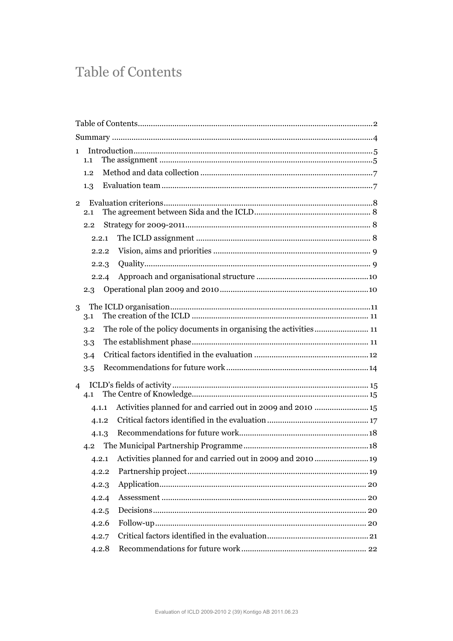# **Table of Contents**

| $\mathbf{1}$   | 1.1   |  |                                                             |  |
|----------------|-------|--|-------------------------------------------------------------|--|
|                | 1.2   |  |                                                             |  |
|                | 1.3   |  |                                                             |  |
| $\overline{2}$ | 2.1   |  |                                                             |  |
|                | 2.2   |  |                                                             |  |
|                | 2.2.1 |  |                                                             |  |
|                | 2.2.2 |  |                                                             |  |
|                | 2.2.3 |  |                                                             |  |
|                | 2.2.4 |  |                                                             |  |
|                | 2.3   |  |                                                             |  |
| 3              | 3.1   |  |                                                             |  |
|                | 3.2   |  |                                                             |  |
|                | 3.3   |  |                                                             |  |
|                | 3.4   |  |                                                             |  |
|                | 3.5   |  |                                                             |  |
| $\overline{4}$ | 4.1   |  |                                                             |  |
|                | 4.1.1 |  | Activities planned for and carried out in 2009 and 2010  15 |  |
|                | 4.1.2 |  |                                                             |  |
|                | 4.1.3 |  |                                                             |  |
|                |       |  |                                                             |  |
|                |       |  |                                                             |  |
|                | 4.2.2 |  |                                                             |  |
|                | 4.2.3 |  |                                                             |  |
|                | 4.2.4 |  |                                                             |  |
|                | 4.2.5 |  |                                                             |  |
|                | 4.2.6 |  |                                                             |  |
|                | 4.2.7 |  |                                                             |  |
|                | 4.2.8 |  |                                                             |  |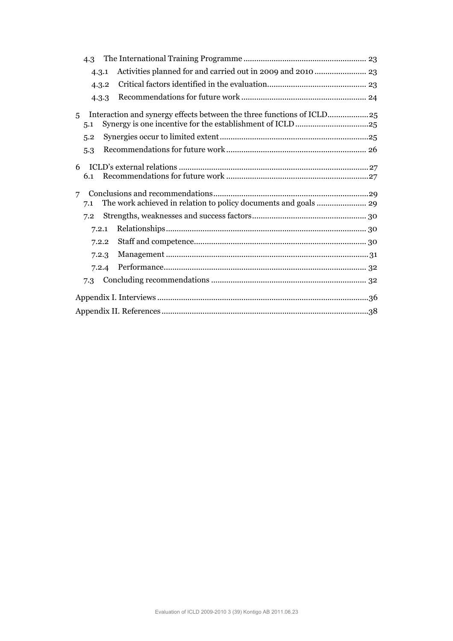|                | 4.3                                                                    |                                                                     |  |  |  |  |  |
|----------------|------------------------------------------------------------------------|---------------------------------------------------------------------|--|--|--|--|--|
|                | 4.3.1                                                                  |                                                                     |  |  |  |  |  |
|                | 4.3.2                                                                  |                                                                     |  |  |  |  |  |
|                | 4.3.3                                                                  |                                                                     |  |  |  |  |  |
| 5 <sup>1</sup> | 5.1                                                                    | Interaction and synergy effects between the three functions of ICLD |  |  |  |  |  |
|                | 5.2                                                                    |                                                                     |  |  |  |  |  |
|                | 5.3                                                                    |                                                                     |  |  |  |  |  |
| 6              | 6.1                                                                    |                                                                     |  |  |  |  |  |
| $\overline{7}$ | The work achieved in relation to policy documents and goals  29<br>7.1 |                                                                     |  |  |  |  |  |
| 7.2            |                                                                        |                                                                     |  |  |  |  |  |
|                | 7.2.1                                                                  |                                                                     |  |  |  |  |  |
|                | 7.2.2                                                                  |                                                                     |  |  |  |  |  |
|                | 7.2.3                                                                  |                                                                     |  |  |  |  |  |
|                | 7.2.4                                                                  |                                                                     |  |  |  |  |  |
|                | 7.3                                                                    |                                                                     |  |  |  |  |  |
|                |                                                                        |                                                                     |  |  |  |  |  |
|                |                                                                        |                                                                     |  |  |  |  |  |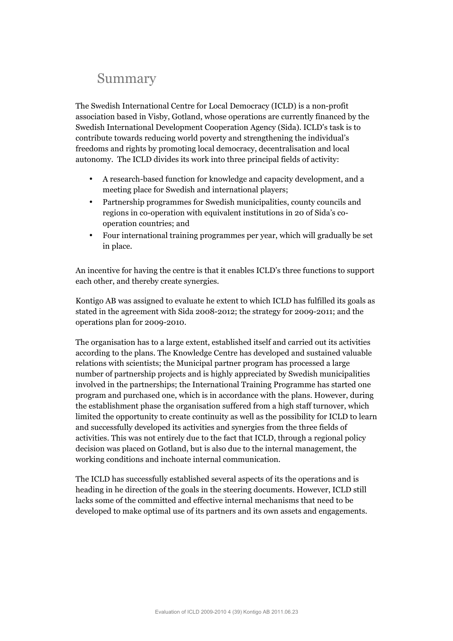# Summary

The Swedish International Centre for Local Democracy (ICLD) is a non-profit association based in Visby, Gotland, whose operations are currently financed by the Swedish International Development Cooperation Agency (Sida). ICLD's task is to contribute towards reducing world poverty and strengthening the individual's freedoms and rights by promoting local democracy, decentralisation and local autonomy. The ICLD divides its work into three principal fields of activity:

- A research-based function for knowledge and capacity development, and a meeting place for Swedish and international players;
- Partnership programmes for Swedish municipalities, county councils and regions in co-operation with equivalent institutions in 20 of Sida's cooperation countries; and
- Four international training programmes per year, which will gradually be set in place.

An incentive for having the centre is that it enables ICLD's three functions to support each other, and thereby create synergies.

Kontigo AB was assigned to evaluate he extent to which ICLD has fulfilled its goals as stated in the agreement with Sida 2008-2012; the strategy for 2009-2011; and the operations plan for 2009-2010.

The organisation has to a large extent, established itself and carried out its activities according to the plans. The Knowledge Centre has developed and sustained valuable relations with scientists; the Municipal partner program has processed a large number of partnership projects and is highly appreciated by Swedish municipalities involved in the partnerships; the International Training Programme has started one program and purchased one, which is in accordance with the plans. However, during the establishment phase the organisation suffered from a high staff turnover, which limited the opportunity to create continuity as well as the possibility for ICLD to learn and successfully developed its activities and synergies from the three fields of activities. This was not entirely due to the fact that ICLD, through a regional policy decision was placed on Gotland, but is also due to the internal management, the working conditions and inchoate internal communication.

The ICLD has successfully established several aspects of its the operations and is heading in he direction of the goals in the steering documents. However, ICLD still lacks some of the committed and effective internal mechanisms that need to be developed to make optimal use of its partners and its own assets and engagements.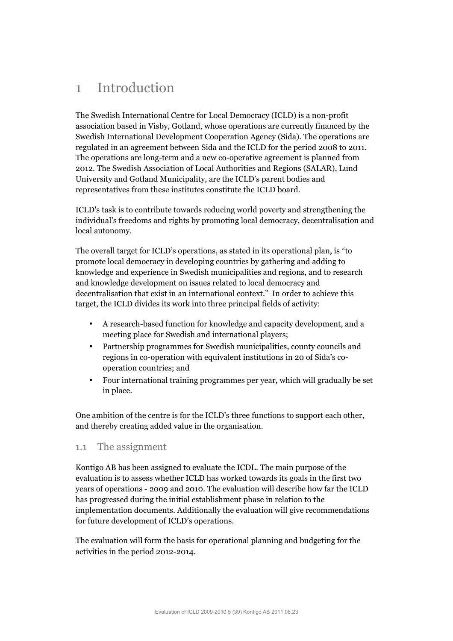# 1 Introduction

The Swedish International Centre for Local Democracy (ICLD) is a non-profit association based in Visby, Gotland, whose operations are currently financed by the Swedish International Development Cooperation Agency (Sida). The operations are regulated in an agreement between Sida and the ICLD for the period 2008 to 2011. The operations are long-term and a new co-operative agreement is planned from 2012. The Swedish Association of Local Authorities and Regions (SALAR), Lund University and Gotland Municipality, are the ICLD's parent bodies and representatives from these institutes constitute the ICLD board.

ICLD's task is to contribute towards reducing world poverty and strengthening the individual's freedoms and rights by promoting local democracy, decentralisation and local autonomy.

The overall target for ICLD's operations, as stated in its operational plan, is "to promote local democracy in developing countries by gathering and adding to knowledge and experience in Swedish municipalities and regions, and to research and knowledge development on issues related to local democracy and decentralisation that exist in an international context." In order to achieve this target, the ICLD divides its work into three principal fields of activity:

- A research-based function for knowledge and capacity development, and a meeting place for Swedish and international players;
- Partnership programmes for Swedish municipalities, county councils and regions in co-operation with equivalent institutions in 20 of Sida's cooperation countries; and
- Four international training programmes per year, which will gradually be set in place.

One ambition of the centre is for the ICLD's three functions to support each other, and thereby creating added value in the organisation.

#### 1.1 The assignment

Kontigo AB has been assigned to evaluate the ICDL. The main purpose of the evaluation is to assess whether ICLD has worked towards its goals in the first two years of operations - 2009 and 2010. The evaluation will describe how far the ICLD has progressed during the initial establishment phase in relation to the implementation documents. Additionally the evaluation will give recommendations for future development of ICLD's operations.

The evaluation will form the basis for operational planning and budgeting for the activities in the period 2012-2014.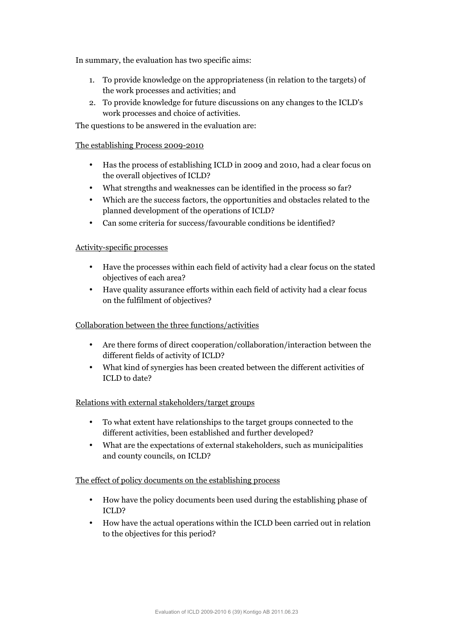In summary, the evaluation has two specific aims:

- 1. To provide knowledge on the appropriateness (in relation to the targets) of the work processes and activities; and
- 2. To provide knowledge for future discussions on any changes to the ICLD's work processes and choice of activities.

The questions to be answered in the evaluation are:

#### The establishing Process 2009-2010

- Has the process of establishing ICLD in 2009 and 2010, had a clear focus on the overall objectives of ICLD?
- What strengths and weaknesses can be identified in the process so far?
- Which are the success factors, the opportunities and obstacles related to the planned development of the operations of ICLD?
- Can some criteria for success/favourable conditions be identified?

#### Activity-specific processes

- Have the processes within each field of activity had a clear focus on the stated objectives of each area?
- Have quality assurance efforts within each field of activity had a clear focus on the fulfilment of objectives?

#### Collaboration between the three functions/activities

- Are there forms of direct cooperation/collaboration/interaction between the different fields of activity of ICLD?
- What kind of synergies has been created between the different activities of ICLD to date?

#### Relations with external stakeholders/target groups

- To what extent have relationships to the target groups connected to the different activities, been established and further developed?
- What are the expectations of external stakeholders, such as municipalities and county councils, on ICLD?

#### The effect of policy documents on the establishing process

- How have the policy documents been used during the establishing phase of ICLD?
- How have the actual operations within the ICLD been carried out in relation to the objectives for this period?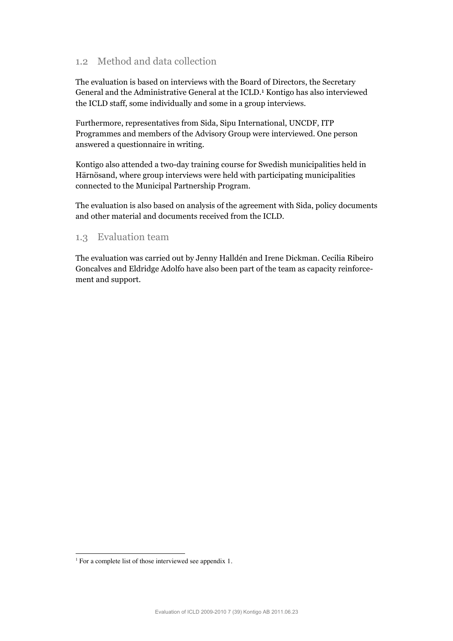# 1.2 Method and data collection

The evaluation is based on interviews with the Board of Directors, the Secretary General and the Administrative General at the ICLD. 1 Kontigo has also interviewed the ICLD staff, some individually and some in a group interviews.

Furthermore, representatives from Sida, Sipu International, UNCDF, ITP Programmes and members of the Advisory Group were interviewed. One person answered a questionnaire in writing.

Kontigo also attended a two-day training course for Swedish municipalities held in Härnösand, where group interviews were held with participating municipalities connected to the Municipal Partnership Program.

The evaluation is also based on analysis of the agreement with Sida, policy documents and other material and documents received from the ICLD.

#### 1.3 Evaluation team

The evaluation was carried out by Jenny Halldén and Irene Dickman. Cecilia Ribeiro Goncalves and Eldridge Adolfo have also been part of the team as capacity reinforcement and support.

 $\overline{a}$ 

<sup>&</sup>lt;sup>1</sup> For a complete list of those interviewed see appendix 1.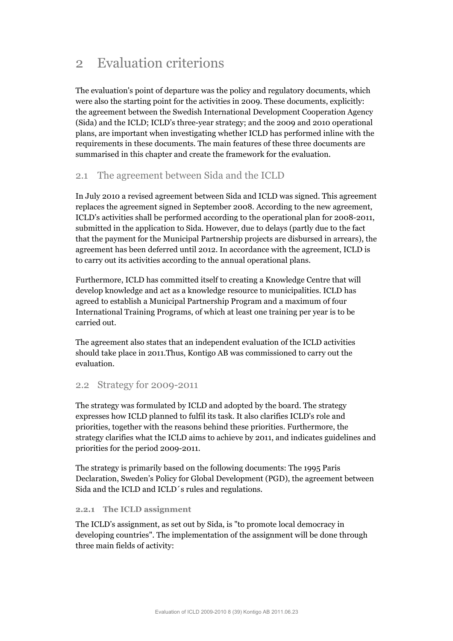# 2 Evaluation criterions

The evaluation's point of departure was the policy and regulatory documents, which were also the starting point for the activities in 2009. These documents, explicitly: the agreement between the Swedish International Development Cooperation Agency (Sida) and the ICLD; ICLD's three-year strategy; and the 2009 and 2010 operational plans, are important when investigating whether ICLD has performed inline with the requirements in these documents. The main features of these three documents are summarised in this chapter and create the framework for the evaluation.

# 2.1 The agreement between Sida and the ICLD

In July 2010 a revised agreement between Sida and ICLD was signed. This agreement replaces the agreement signed in September 2008. According to the new agreement, ICLD's activities shall be performed according to the operational plan for 2008-2011, submitted in the application to Sida. However, due to delays (partly due to the fact that the payment for the Municipal Partnership projects are disbursed in arrears), the agreement has been deferred until 2012. In accordance with the agreement, ICLD is to carry out its activities according to the annual operational plans.

Furthermore, ICLD has committed itself to creating a Knowledge Centre that will develop knowledge and act as a knowledge resource to municipalities. ICLD has agreed to establish a Municipal Partnership Program and a maximum of four International Training Programs, of which at least one training per year is to be carried out.

The agreement also states that an independent evaluation of the ICLD activities should take place in 2011.Thus, Kontigo AB was commissioned to carry out the evaluation.

#### 2.2 Strategy for 2009-2011

The strategy was formulated by ICLD and adopted by the board. The strategy expresses how ICLD planned to fulfil its task. It also clarifies ICLD's role and priorities, together with the reasons behind these priorities. Furthermore, the strategy clarifies what the ICLD aims to achieve by 2011, and indicates guidelines and priorities for the period 2009-2011.

The strategy is primarily based on the following documents: The 1995 Paris Declaration, Sweden's Policy for Global Development (PGD), the agreement between Sida and the ICLD and ICLD´s rules and regulations.

#### **2.2.1 The ICLD assignment**

The ICLD's assignment, as set out by Sida, is "to promote local democracy in developing countries". The implementation of the assignment will be done through three main fields of activity: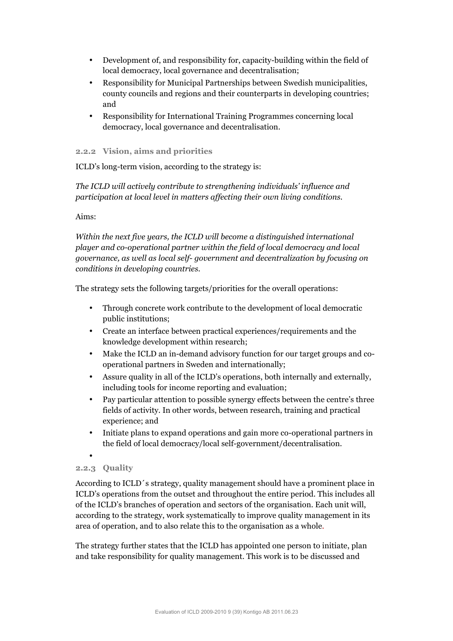- Development of, and responsibility for, capacity-building within the field of local democracy, local governance and decentralisation;
- Responsibility for Municipal Partnerships between Swedish municipalities, county councils and regions and their counterparts in developing countries; and
- Responsibility for International Training Programmes concerning local democracy, local governance and decentralisation.

#### **2.2.2 Vision, aims and priorities**

ICLD's long-term vision, according to the strategy is:

*The ICLD will actively contribute to strengthening individuals' influence and participation at local level in matters affecting their own living conditions.*

#### Aims:

*Within the next five years, the ICLD will become a distinguished international player and co-operational partner within the field of local democracy and local governance, as well as local self- government and decentralization by focusing on conditions in developing countries.* 

The strategy sets the following targets/priorities for the overall operations:

- Through concrete work contribute to the development of local democratic public institutions;
- Create an interface between practical experiences/requirements and the knowledge development within research;
- Make the ICLD an in-demand advisory function for our target groups and cooperational partners in Sweden and internationally;
- Assure quality in all of the ICLD's operations, both internally and externally, including tools for income reporting and evaluation;
- Pay particular attention to possible synergy effects between the centre's three fields of activity. In other words, between research, training and practical experience; and
- Initiate plans to expand operations and gain more co-operational partners in the field of local democracy/local self-government/decentralisation.

#### **2.2.3 Quality**

•

According to ICLD´s strategy, quality management should have a prominent place in ICLD's operations from the outset and throughout the entire period. This includes all of the ICLD's branches of operation and sectors of the organisation. Each unit will, according to the strategy, work systematically to improve quality management in its area of operation, and to also relate this to the organisation as a whole.

The strategy further states that the ICLD has appointed one person to initiate, plan and take responsibility for quality management. This work is to be discussed and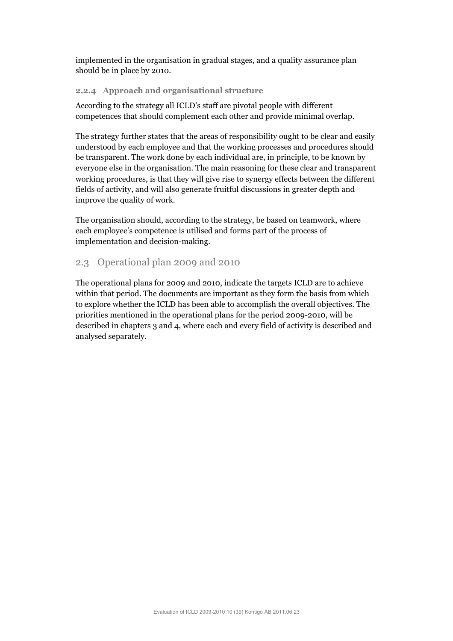implemented in the organisation in gradual stages, and a quality assurance plan should be in place by 2010.

#### **2.2.4 Approach and organisational structure**

According to the strategy all ICLD's staff are pivotal people with different competences that should complement each other and provide minimal overlap.

The strategy further states that the areas of responsibility ought to be clear and easily understood by each employee and that the working processes and procedures should be transparent. The work done by each individual are, in principle, to be known by everyone else in the organisation. The main reasoning for these clear and transparent working procedures, is that they will give rise to synergy effects between the different fields of activity, and will also generate fruitful discussions in greater depth and improve the quality of work.

The organisation should, according to the strategy, be based on teamwork, where each employee's competence is utilised and forms part of the process of implementation and decision-making.

### 2.3 Operational plan 2009 and 2010

The operational plans for 2009 and 2010, indicate the targets ICLD are to achieve within that period. The documents are important as they form the basis from which to explore whether the ICLD has been able to accomplish the overall objectives. The priorities mentioned in the operational plans for the period 2009-2010, will be described in chapters 3 and 4, where each and every field of activity is described and analysed separately.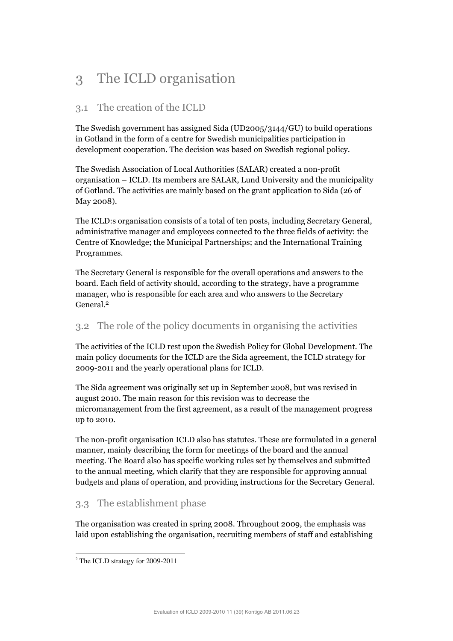# 3 The ICLD organisation

# 3.1 The creation of the ICLD

The Swedish government has assigned Sida (UD2005/3144/GU) to build operations in Gotland in the form of a centre for Swedish municipalities participation in development cooperation. The decision was based on Swedish regional policy.

The Swedish Association of Local Authorities (SALAR) created a non-profit organisation – ICLD. Its members are SALAR, Lund University and the municipality of Gotland. The activities are mainly based on the grant application to Sida (26 of May 2008).

The ICLD:s organisation consists of a total of ten posts, including Secretary General, administrative manager and employees connected to the three fields of activity: the Centre of Knowledge; the Municipal Partnerships; and the International Training Programmes.

The Secretary General is responsible for the overall operations and answers to the board. Each field of activity should, according to the strategy, have a programme manager, who is responsible for each area and who answers to the Secretary General. 2

# 3.2 The role of the policy documents in organising the activities

The activities of the ICLD rest upon the Swedish Policy for Global Development. The main policy documents for the ICLD are the Sida agreement, the ICLD strategy for 2009-2011 and the yearly operational plans for ICLD.

The Sida agreement was originally set up in September 2008, but was revised in august 2010. The main reason for this revision was to decrease the micromanagement from the first agreement, as a result of the management progress up to 2010.

The non-profit organisation ICLD also has statutes. These are formulated in a general manner, mainly describing the form for meetings of the board and the annual meeting. The Board also has specific working rules set by themselves and submitted to the annual meeting, which clarify that they are responsible for approving annual budgets and plans of operation, and providing instructions for the Secretary General.

# 3.3 The establishment phase

The organisation was created in spring 2008. Throughout 2009, the emphasis was laid upon establishing the organisation, recruiting members of staff and establishing

<sup>-</sup><sup>2</sup> The ICLD strategy for 2009-2011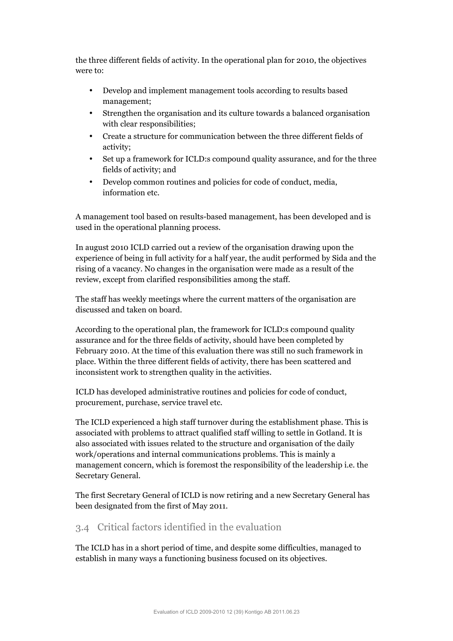the three different fields of activity. In the operational plan for 2010, the objectives were to:

- Develop and implement management tools according to results based management;
- Strengthen the organisation and its culture towards a balanced organisation with clear responsibilities;
- Create a structure for communication between the three different fields of activity;
- Set up a framework for ICLD:s compound quality assurance, and for the three fields of activity; and
- Develop common routines and policies for code of conduct, media, information etc.

A management tool based on results-based management, has been developed and is used in the operational planning process.

In august 2010 ICLD carried out a review of the organisation drawing upon the experience of being in full activity for a half year, the audit performed by Sida and the rising of a vacancy. No changes in the organisation were made as a result of the review, except from clarified responsibilities among the staff.

The staff has weekly meetings where the current matters of the organisation are discussed and taken on board.

According to the operational plan, the framework for ICLD:s compound quality assurance and for the three fields of activity, should have been completed by February 2010. At the time of this evaluation there was still no such framework in place. Within the three different fields of activity, there has been scattered and inconsistent work to strengthen quality in the activities.

ICLD has developed administrative routines and policies for code of conduct, procurement, purchase, service travel etc.

The ICLD experienced a high staff turnover during the establishment phase. This is associated with problems to attract qualified staff willing to settle in Gotland. It is also associated with issues related to the structure and organisation of the daily work/operations and internal communications problems. This is mainly a management concern, which is foremost the responsibility of the leadership i.e. the Secretary General.

The first Secretary General of ICLD is now retiring and a new Secretary General has been designated from the first of May 2011.

# 3.4 Critical factors identified in the evaluation

The ICLD has in a short period of time, and despite some difficulties, managed to establish in many ways a functioning business focused on its objectives.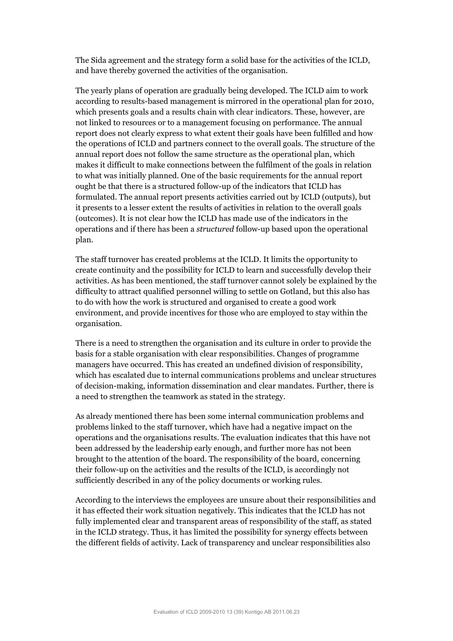The Sida agreement and the strategy form a solid base for the activities of the ICLD, and have thereby governed the activities of the organisation.

The yearly plans of operation are gradually being developed. The ICLD aim to work according to results-based management is mirrored in the operational plan for 2010, which presents goals and a results chain with clear indicators. These, however, are not linked to resources or to a management focusing on performance. The annual report does not clearly express to what extent their goals have been fulfilled and how the operations of ICLD and partners connect to the overall goals. The structure of the annual report does not follow the same structure as the operational plan, which makes it difficult to make connections between the fulfilment of the goals in relation to what was initially planned. One of the basic requirements for the annual report ought be that there is a structured follow-up of the indicators that ICLD has formulated. The annual report presents activities carried out by ICLD (outputs), but it presents to a lesser extent the results of activities in relation to the overall goals (outcomes). It is not clear how the ICLD has made use of the indicators in the operations and if there has been a *structured* follow-up based upon the operational plan.

The staff turnover has created problems at the ICLD. It limits the opportunity to create continuity and the possibility for ICLD to learn and successfully develop their activities. As has been mentioned, the staff turnover cannot solely be explained by the difficulty to attract qualified personnel willing to settle on Gotland, but this also has to do with how the work is structured and organised to create a good work environment, and provide incentives for those who are employed to stay within the organisation.

There is a need to strengthen the organisation and its culture in order to provide the basis for a stable organisation with clear responsibilities. Changes of programme managers have occurred. This has created an undefined division of responsibility, which has escalated due to internal communications problems and unclear structures of decision-making, information dissemination and clear mandates. Further, there is a need to strengthen the teamwork as stated in the strategy.

As already mentioned there has been some internal communication problems and problems linked to the staff turnover, which have had a negative impact on the operations and the organisations results. The evaluation indicates that this have not been addressed by the leadership early enough, and further more has not been brought to the attention of the board. The responsibility of the board, concerning their follow-up on the activities and the results of the ICLD, is accordingly not sufficiently described in any of the policy documents or working rules.

According to the interviews the employees are unsure about their responsibilities and it has effected their work situation negatively. This indicates that the ICLD has not fully implemented clear and transparent areas of responsibility of the staff, as stated in the ICLD strategy. Thus, it has limited the possibility for synergy effects between the different fields of activity. Lack of transparency and unclear responsibilities also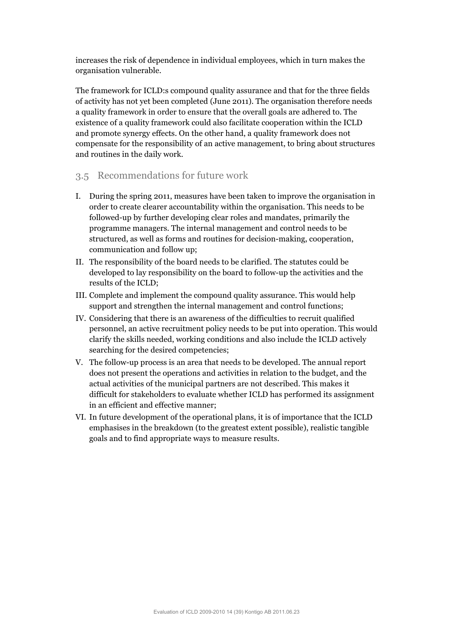increases the risk of dependence in individual employees, which in turn makes the organisation vulnerable.

The framework for ICLD:s compound quality assurance and that for the three fields of activity has not yet been completed (June 2011). The organisation therefore needs a quality framework in order to ensure that the overall goals are adhered to. The existence of a quality framework could also facilitate cooperation within the ICLD and promote synergy effects. On the other hand, a quality framework does not compensate for the responsibility of an active management, to bring about structures and routines in the daily work.

### 3.5 Recommendations for future work

- I. During the spring 2011, measures have been taken to improve the organisation in order to create clearer accountability within the organisation. This needs to be followed-up by further developing clear roles and mandates, primarily the programme managers. The internal management and control needs to be structured, as well as forms and routines for decision-making, cooperation, communication and follow up;
- II. The responsibility of the board needs to be clarified. The statutes could be developed to lay responsibility on the board to follow-up the activities and the results of the ICLD;
- III. Complete and implement the compound quality assurance. This would help support and strengthen the internal management and control functions;
- IV. Considering that there is an awareness of the difficulties to recruit qualified personnel, an active recruitment policy needs to be put into operation. This would clarify the skills needed, working conditions and also include the ICLD actively searching for the desired competencies;
- V. The follow-up process is an area that needs to be developed. The annual report does not present the operations and activities in relation to the budget, and the actual activities of the municipal partners are not described. This makes it difficult for stakeholders to evaluate whether ICLD has performed its assignment in an efficient and effective manner;
- VI. In future development of the operational plans, it is of importance that the ICLD emphasises in the breakdown (to the greatest extent possible), realistic tangible goals and to find appropriate ways to measure results.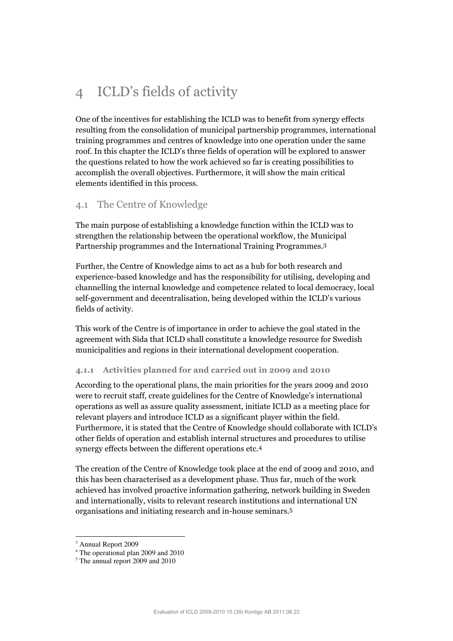# 4 ICLD's fields of activity

One of the incentives for establishing the ICLD was to benefit from synergy effects resulting from the consolidation of municipal partnership programmes, international training programmes and centres of knowledge into one operation under the same roof. In this chapter the ICLD's three fields of operation will be explored to answer the questions related to how the work achieved so far is creating possibilities to accomplish the overall objectives. Furthermore, it will show the main critical elements identified in this process.

# 4.1 The Centre of Knowledge

The main purpose of establishing a knowledge function within the ICLD was to strengthen the relationship between the operational workflow, the Municipal Partnership programmes and the International Training Programmes. 3

Further, the Centre of Knowledge aims to act as a hub for both research and experience-based knowledge and has the responsibility for utilising, developing and channelling the internal knowledge and competence related to local democracy, local self-government and decentralisation, being developed within the ICLD's various fields of activity.

This work of the Centre is of importance in order to achieve the goal stated in the agreement with Sida that ICLD shall constitute a knowledge resource for Swedish municipalities and regions in their international development cooperation.

#### **4.1.1 Activities planned for and carried out in 2009 and 2010**

According to the operational plans, the main priorities for the years 2009 and 2010 were to recruit staff, create guidelines for the Centre of Knowledge's international operations as well as assure quality assessment, initiate ICLD as a meeting place for relevant players and introduce ICLD as a significant player within the field. Furthermore, it is stated that the Centre of Knowledge should collaborate with ICLD's other fields of operation and establish internal structures and procedures to utilise synergy effects between the different operations etc. 4

The creation of the Centre of Knowledge took place at the end of 2009 and 2010, and this has been characterised as a development phase. Thus far, much of the work achieved has involved proactive information gathering, network building in Sweden and internationally, visits to relevant research institutions and international UN organisations and initiating research and in-house seminars. 5

 $\overline{a}$ 

<sup>&</sup>lt;sup>3</sup> Annual Report 2009

<sup>4</sup> The operational plan 2009 and 2010

<sup>&</sup>lt;sup>5</sup> The annual report 2009 and 2010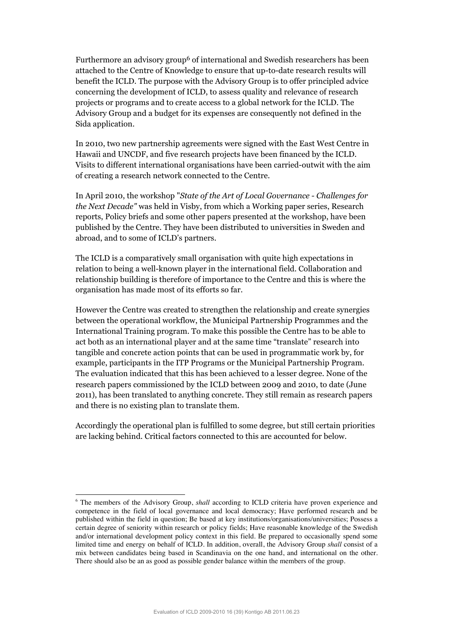Furthermore an advisory group6 of international and Swedish researchers has been attached to the Centre of Knowledge to ensure that up-to-date research results will benefit the ICLD. The purpose with the Advisory Group is to offer principled advice concerning the development of ICLD, to assess quality and relevance of research projects or programs and to create access to a global network for the ICLD. The Advisory Group and a budget for its expenses are consequently not defined in the Sida application.

In 2010, two new partnership agreements were signed with the East West Centre in Hawaii and UNCDF, and five research projects have been financed by the ICLD. Visits to different international organisations have been carried-outwit with the aim of creating a research network connected to the Centre.

In April 2010, the workshop "*State of the Art of Local Governance - Challenges for the Next Decade"* was held in Visby, from which a Working paper series, Research reports, Policy briefs and some other papers presented at the workshop, have been published by the Centre. They have been distributed to universities in Sweden and abroad, and to some of ICLD's partners.

The ICLD is a comparatively small organisation with quite high expectations in relation to being a well-known player in the international field. Collaboration and relationship building is therefore of importance to the Centre and this is where the organisation has made most of its efforts so far.

However the Centre was created to strengthen the relationship and create synergies between the operational workflow, the Municipal Partnership Programmes and the International Training program. To make this possible the Centre has to be able to act both as an international player and at the same time "translate" research into tangible and concrete action points that can be used in programmatic work by, for example, participants in the ITP Programs or the Municipal Partnership Program. The evaluation indicated that this has been achieved to a lesser degree. None of the research papers commissioned by the ICLD between 2009 and 2010, to date (June 2011), has been translated to anything concrete. They still remain as research papers and there is no existing plan to translate them.

Accordingly the operational plan is fulfilled to some degree, but still certain priorities are lacking behind. Critical factors connected to this are accounted for below.

 $\ddot{ }$ 

<sup>6</sup> The members of the Advisory Group, *shall* according to ICLD criteria have proven experience and competence in the field of local governance and local democracy; Have performed research and be published within the field in question; Be based at key institutions/organisations/universities; Possess a certain degree of seniority within research or policy fields; Have reasonable knowledge of the Swedish and/or international development policy context in this field. Be prepared to occasionally spend some limited time and energy on behalf of ICLD. In addition, overall, the Advisory Group *shall* consist of a mix between candidates being based in Scandinavia on the one hand, and international on the other. There should also be an as good as possible gender balance within the members of the group.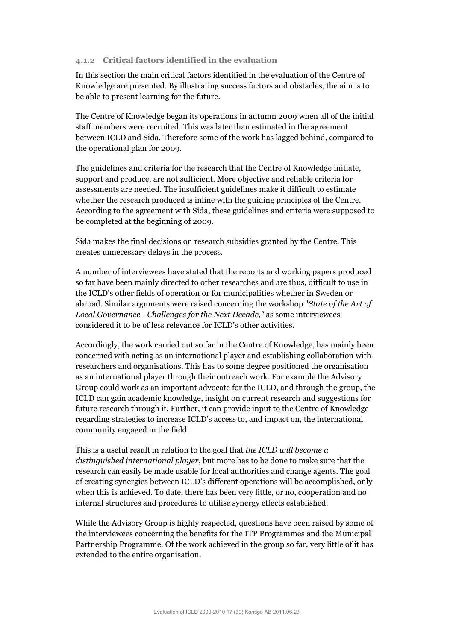#### **4.1.2 Critical factors identified in the evaluation**

In this section the main critical factors identified in the evaluation of the Centre of Knowledge are presented. By illustrating success factors and obstacles, the aim is to be able to present learning for the future.

The Centre of Knowledge began its operations in autumn 2009 when all of the initial staff members were recruited. This was later than estimated in the agreement between ICLD and Sida. Therefore some of the work has lagged behind, compared to the operational plan for 2009.

The guidelines and criteria for the research that the Centre of Knowledge initiate, support and produce, are not sufficient. More objective and reliable criteria for assessments are needed. The insufficient guidelines make it difficult to estimate whether the research produced is inline with the guiding principles of the Centre. According to the agreement with Sida, these guidelines and criteria were supposed to be completed at the beginning of 2009.

Sida makes the final decisions on research subsidies granted by the Centre. This creates unnecessary delays in the process.

A number of interviewees have stated that the reports and working papers produced so far have been mainly directed to other researches and are thus, difficult to use in the ICLD's other fields of operation or for municipalities whether in Sweden or abroad. Similar arguments were raised concerning the workshop "*State of the Art of Local Governance - Challenges for the Next Decade,"* as some interviewees considered it to be of less relevance for ICLD's other activities.

Accordingly, the work carried out so far in the Centre of Knowledge, has mainly been concerned with acting as an international player and establishing collaboration with researchers and organisations. This has to some degree positioned the organisation as an international player through their outreach work. For example the Advisory Group could work as an important advocate for the ICLD, and through the group, the ICLD can gain academic knowledge, insight on current research and suggestions for future research through it. Further, it can provide input to the Centre of Knowledge regarding strategies to increase ICLD's access to, and impact on, the international community engaged in the field.

This is a useful result in relation to the goal that *the ICLD will become a distinguished international player,* but more has to be done to make sure that the research can easily be made usable for local authorities and change agents. The goal of creating synergies between ICLD's different operations will be accomplished, only when this is achieved. To date, there has been very little, or no, cooperation and no internal structures and procedures to utilise synergy effects established.

While the Advisory Group is highly respected, questions have been raised by some of the interviewees concerning the benefits for the ITP Programmes and the Municipal Partnership Programme. Of the work achieved in the group so far, very little of it has extended to the entire organisation.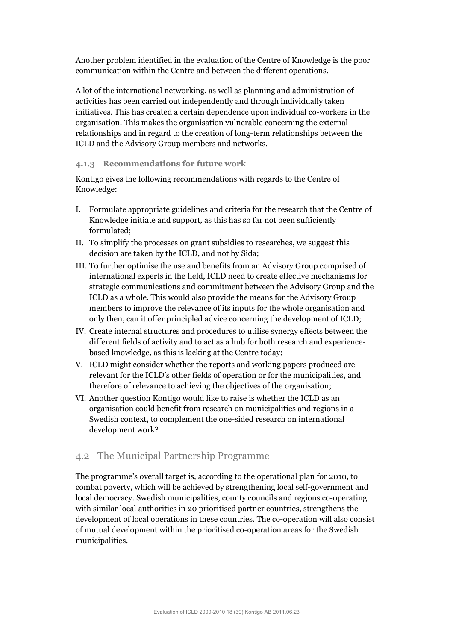Another problem identified in the evaluation of the Centre of Knowledge is the poor communication within the Centre and between the different operations.

A lot of the international networking, as well as planning and administration of activities has been carried out independently and through individually taken initiatives. This has created a certain dependence upon individual co-workers in the organisation. This makes the organisation vulnerable concerning the external relationships and in regard to the creation of long-term relationships between the ICLD and the Advisory Group members and networks.

#### **4.1.3 Recommendations for future work**

Kontigo gives the following recommendations with regards to the Centre of Knowledge:

- I. Formulate appropriate guidelines and criteria for the research that the Centre of Knowledge initiate and support, as this has so far not been sufficiently formulated;
- II. To simplify the processes on grant subsidies to researches, we suggest this decision are taken by the ICLD, and not by Sida;
- III. To further optimise the use and benefits from an Advisory Group comprised of international experts in the field, ICLD need to create effective mechanisms for strategic communications and commitment between the Advisory Group and the ICLD as a whole. This would also provide the means for the Advisory Group members to improve the relevance of its inputs for the whole organisation and only then, can it offer principled advice concerning the development of ICLD;
- IV. Create internal structures and procedures to utilise synergy effects between the different fields of activity and to act as a hub for both research and experiencebased knowledge, as this is lacking at the Centre today;
- V. ICLD might consider whether the reports and working papers produced are relevant for the ICLD's other fields of operation or for the municipalities, and therefore of relevance to achieving the objectives of the organisation;
- VI. Another question Kontigo would like to raise is whether the ICLD as an organisation could benefit from research on municipalities and regions in a Swedish context, to complement the one-sided research on international development work?

### 4.2 The Municipal Partnership Programme

The programme's overall target is, according to the operational plan for 2010, to combat poverty, which will be achieved by strengthening local self-government and local democracy. Swedish municipalities, county councils and regions co-operating with similar local authorities in 20 prioritised partner countries, strengthens the development of local operations in these countries. The co-operation will also consist of mutual development within the prioritised co-operation areas for the Swedish municipalities.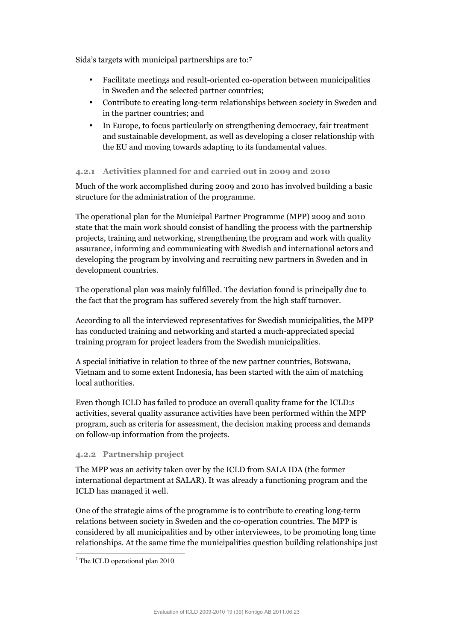Sida's targets with municipal partnerships are to:7

- Facilitate meetings and result-oriented co-operation between municipalities in Sweden and the selected partner countries;
- Contribute to creating long-term relationships between society in Sweden and in the partner countries; and
- In Europe, to focus particularly on strengthening democracy, fair treatment and sustainable development, as well as developing a closer relationship with the EU and moving towards adapting to its fundamental values.

#### **4.2.1 Activities planned for and carried out in 2009 and 2010**

Much of the work accomplished during 2009 and 2010 has involved building a basic structure for the administration of the programme.

The operational plan for the Municipal Partner Programme (MPP) 2009 and 2010 state that the main work should consist of handling the process with the partnership projects, training and networking, strengthening the program and work with quality assurance, informing and communicating with Swedish and international actors and developing the program by involving and recruiting new partners in Sweden and in development countries.

The operational plan was mainly fulfilled. The deviation found is principally due to the fact that the program has suffered severely from the high staff turnover.

According to all the interviewed representatives for Swedish municipalities, the MPP has conducted training and networking and started a much-appreciated special training program for project leaders from the Swedish municipalities.

A special initiative in relation to three of the new partner countries, Botswana, Vietnam and to some extent Indonesia, has been started with the aim of matching local authorities.

Even though ICLD has failed to produce an overall quality frame for the ICLD:s activities, several quality assurance activities have been performed within the MPP program, such as criteria for assessment, the decision making process and demands on follow-up information from the projects.

#### **4.2.2 Partnership project**

The MPP was an activity taken over by the ICLD from SALA IDA (the former international department at SALAR). It was already a functioning program and the ICLD has managed it well.

One of the strategic aims of the programme is to contribute to creating long-term relations between society in Sweden and the co-operation countries. The MPP is considered by all municipalities and by other interviewees, to be promoting long time relationships. At the same time the municipalities question building relationships just

-

<sup>7</sup> The ICLD operational plan 2010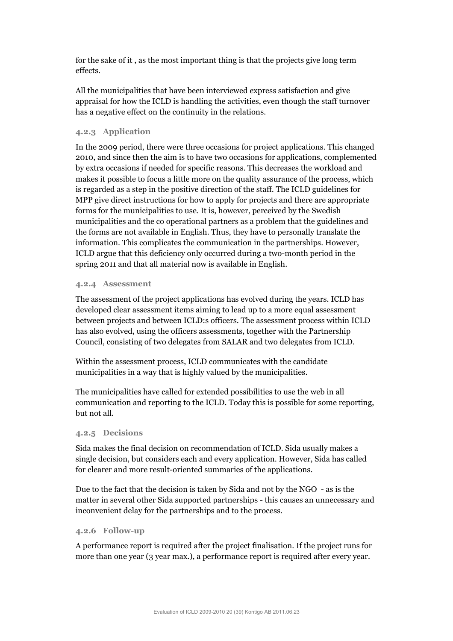for the sake of it , as the most important thing is that the projects give long term effects.

All the municipalities that have been interviewed express satisfaction and give appraisal for how the ICLD is handling the activities, even though the staff turnover has a negative effect on the continuity in the relations.

#### **4.2.3 Application**

In the 2009 period, there were three occasions for project applications. This changed 2010, and since then the aim is to have two occasions for applications, complemented by extra occasions if needed for specific reasons. This decreases the workload and makes it possible to focus a little more on the quality assurance of the process, which is regarded as a step in the positive direction of the staff. The ICLD guidelines for MPP give direct instructions for how to apply for projects and there are appropriate forms for the municipalities to use. It is, however, perceived by the Swedish municipalities and the co operational partners as a problem that the guidelines and the forms are not available in English. Thus, they have to personally translate the information. This complicates the communication in the partnerships. However, ICLD argue that this deficiency only occurred during a two-month period in the spring 2011 and that all material now is available in English.

#### **4.2.4 Assessment**

The assessment of the project applications has evolved during the years. ICLD has developed clear assessment items aiming to lead up to a more equal assessment between projects and between ICLD:s officers. The assessment process within ICLD has also evolved, using the officers assessments, together with the Partnership Council, consisting of two delegates from SALAR and two delegates from ICLD.

Within the assessment process, ICLD communicates with the candidate municipalities in a way that is highly valued by the municipalities.

The municipalities have called for extended possibilities to use the web in all communication and reporting to the ICLD. Today this is possible for some reporting, but not all.

#### **4.2.5 Decisions**

Sida makes the final decision on recommendation of ICLD. Sida usually makes a single decision, but considers each and every application. However, Sida has called for clearer and more result-oriented summaries of the applications.

Due to the fact that the decision is taken by Sida and not by the NGO - as is the matter in several other Sida supported partnerships - this causes an unnecessary and inconvenient delay for the partnerships and to the process.

#### **4.2.6 Follow-up**

A performance report is required after the project finalisation. If the project runs for more than one year (3 year max.), a performance report is required after every year.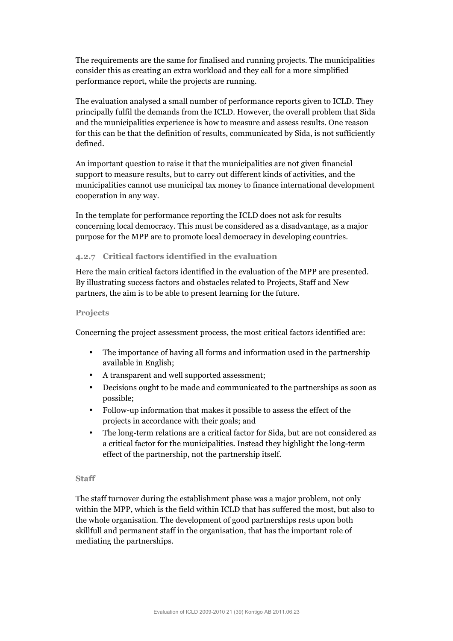The requirements are the same for finalised and running projects. The municipalities consider this as creating an extra workload and they call for a more simplified performance report, while the projects are running.

The evaluation analysed a small number of performance reports given to ICLD. They principally fulfil the demands from the ICLD. However, the overall problem that Sida and the municipalities experience is how to measure and assess results. One reason for this can be that the definition of results, communicated by Sida, is not sufficiently defined.

An important question to raise it that the municipalities are not given financial support to measure results, but to carry out different kinds of activities, and the municipalities cannot use municipal tax money to finance international development cooperation in any way.

In the template for performance reporting the ICLD does not ask for results concerning local democracy. This must be considered as a disadvantage, as a major purpose for the MPP are to promote local democracy in developing countries.

#### **4.2.7 Critical factors identified in the evaluation**

Here the main critical factors identified in the evaluation of the MPP are presented. By illustrating success factors and obstacles related to Projects, Staff and New partners, the aim is to be able to present learning for the future.

#### **Projects**

Concerning the project assessment process, the most critical factors identified are:

- The importance of having all forms and information used in the partnership available in English;
- A transparent and well supported assessment;
- Decisions ought to be made and communicated to the partnerships as soon as possible;
- Follow-up information that makes it possible to assess the effect of the projects in accordance with their goals; and
- The long-term relations are a critical factor for Sida, but are not considered as a critical factor for the municipalities. Instead they highlight the long-term effect of the partnership, not the partnership itself.

#### **Staff**

The staff turnover during the establishment phase was a major problem, not only within the MPP, which is the field within ICLD that has suffered the most, but also to the whole organisation. The development of good partnerships rests upon both skillfull and permanent staff in the organisation, that has the important role of mediating the partnerships.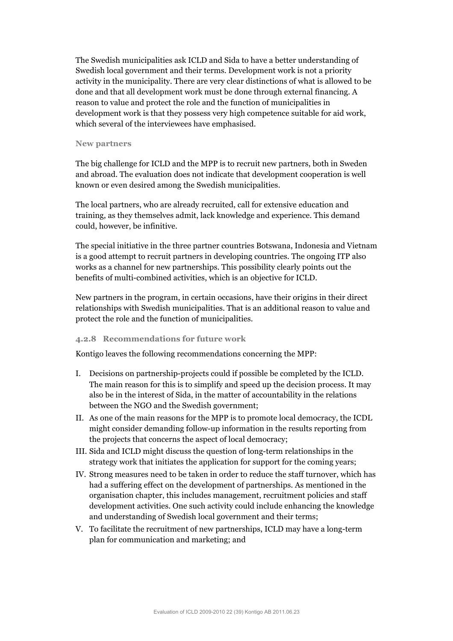The Swedish municipalities ask ICLD and Sida to have a better understanding of Swedish local government and their terms. Development work is not a priority activity in the municipality. There are very clear distinctions of what is allowed to be done and that all development work must be done through external financing. A reason to value and protect the role and the function of municipalities in development work is that they possess very high competence suitable for aid work, which several of the interviewees have emphasised.

#### **New partners**

The big challenge for ICLD and the MPP is to recruit new partners, both in Sweden and abroad. The evaluation does not indicate that development cooperation is well known or even desired among the Swedish municipalities.

The local partners, who are already recruited, call for extensive education and training, as they themselves admit, lack knowledge and experience. This demand could, however, be infinitive.

The special initiative in the three partner countries Botswana, Indonesia and Vietnam is a good attempt to recruit partners in developing countries. The ongoing ITP also works as a channel for new partnerships. This possibility clearly points out the benefits of multi-combined activities, which is an objective for ICLD.

New partners in the program, in certain occasions, have their origins in their direct relationships with Swedish municipalities. That is an additional reason to value and protect the role and the function of municipalities.

#### **4.2.8 Recommendations for future work**

Kontigo leaves the following recommendations concerning the MPP:

- I. Decisions on partnership-projects could if possible be completed by the ICLD. The main reason for this is to simplify and speed up the decision process. It may also be in the interest of Sida, in the matter of accountability in the relations between the NGO and the Swedish government;
- II. As one of the main reasons for the MPP is to promote local democracy, the ICDL might consider demanding follow-up information in the results reporting from the projects that concerns the aspect of local democracy;
- III. Sida and ICLD might discuss the question of long-term relationships in the strategy work that initiates the application for support for the coming years;
- IV. Strong measures need to be taken in order to reduce the staff turnover, which has had a suffering effect on the development of partnerships. As mentioned in the organisation chapter, this includes management, recruitment policies and staff development activities. One such activity could include enhancing the knowledge and understanding of Swedish local government and their terms;
- V. To facilitate the recruitment of new partnerships, ICLD may have a long-term plan for communication and marketing; and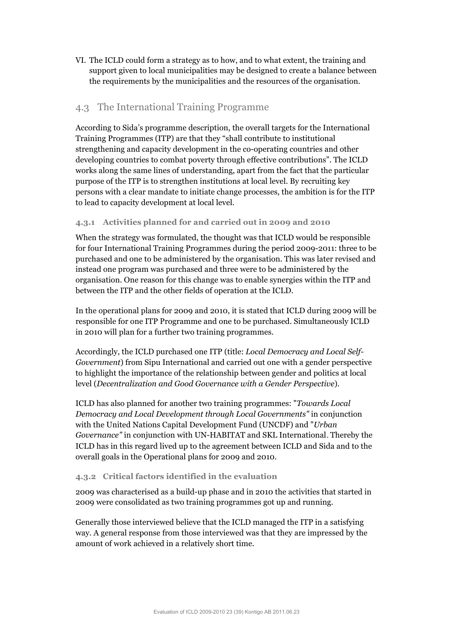VI. The ICLD could form a strategy as to how, and to what extent, the training and support given to local municipalities may be designed to create a balance between the requirements by the municipalities and the resources of the organisation.

### 4.3 The International Training Programme

According to Sida's programme description, the overall targets for the International Training Programmes (ITP) are that they "shall contribute to institutional strengthening and capacity development in the co-operating countries and other developing countries to combat poverty through effective contributions". The ICLD works along the same lines of understanding, apart from the fact that the particular purpose of the ITP is to strengthen institutions at local level. By recruiting key persons with a clear mandate to initiate change processes, the ambition is for the ITP to lead to capacity development at local level.

#### **4.3.1 Activities planned for and carried out in 2009 and 2010**

When the strategy was formulated, the thought was that ICLD would be responsible for four International Training Programmes during the period 2009-2011: three to be purchased and one to be administered by the organisation. This was later revised and instead one program was purchased and three were to be administered by the organisation. One reason for this change was to enable synergies within the ITP and between the ITP and the other fields of operation at the ICLD.

In the operational plans for 2009 and 2010, it is stated that ICLD during 2009 will be responsible for one ITP Programme and one to be purchased. Simultaneously ICLD in 2010 will plan for a further two training programmes.

Accordingly, the ICLD purchased one ITP (title: *Local Democracy and Local Self-Government*) from Sipu International and carried out one with a gender perspective to highlight the importance of the relationship between gender and politics at local level (*Decentralization and Good Governance with a Gender Perspective*).

ICLD has also planned for another two training programmes: "*Towards Local Democracy and Local Development through Local Governments"* in conjunction with the United Nations Capital Development Fund (UNCDF) and "*Urban Governance"* in conjunction with UN-HABITAT and SKL International. Thereby the ICLD has in this regard lived up to the agreement between ICLD and Sida and to the overall goals in the Operational plans for 2009 and 2010.

#### **4.3.2 Critical factors identified in the evaluation**

2009 was characterised as a build-up phase and in 2010 the activities that started in 2009 were consolidated as two training programmes got up and running.

Generally those interviewed believe that the ICLD managed the ITP in a satisfying way. A general response from those interviewed was that they are impressed by the amount of work achieved in a relatively short time.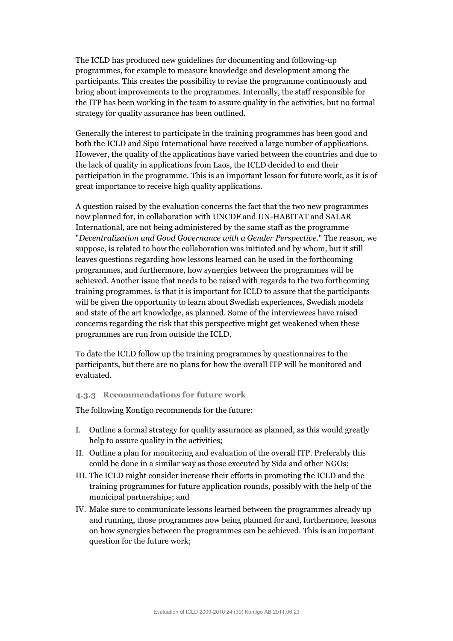The ICLD has produced new guidelines for documenting and following-up programmes, for example to measure knowledge and development among the participants. This creates the possibility to revise the programme continuously and bring about improvements to the programmes. Internally, the staff responsible for the ITP has been working in the team to assure quality in the activities, but no formal strategy for quality assurance has been outlined.

Generally the interest to participate in the training programmes has been good and both the ICLD and Sipu International have received a large number of applications. However, the quality of the applications have varied between the countries and due to the lack of quality in applications from Laos, the ICLD decided to end their participation in the programme. This is an important lesson for future work, as it is of great importance to receive high quality applications.

A question raised by the evaluation concerns the fact that the two new programmes now planned for, in collaboration with UNCDF and UN-HABITAT and SALAR International, are not being administered by the same staff as the programme "*Decentralization and Good Governance with a Gender Perspective*." The reason, we suppose, is related to how the collaboration was initiated and by whom, but it still leaves questions regarding how lessons learned can be used in the forthcoming programmes, and furthermore, how synergies between the programmes will be achieved. Another issue that needs to be raised with regards to the two forthcoming training programmes, is that it is important for ICLD to assure that the participants will be given the opportunity to learn about Swedish experiences, Swedish models and state of the art knowledge, as planned. Some of the interviewees have raised concerns regarding the risk that this perspective might get weakened when these programmes are run from outside the ICLD.

To date the ICLD follow up the training programmes by questionnaires to the participants, but there are no plans for how the overall ITP will be monitored and evaluated.

#### **4.3.3 Recommendations for future work**

The following Kontigo recommends for the future:

- I. Outline a formal strategy for quality assurance as planned, as this would greatly help to assure quality in the activities;
- II. Outline a plan for monitoring and evaluation of the overall ITP. Preferably this could be done in a similar way as those executed by Sida and other NGOs;
- III. The ICLD might consider increase their efforts in promoting the ICLD and the training programmes for future application rounds, possibly with the help of the municipal partnerships; and
- IV. Make sure to communicate lessons learned between the programmes already up and running, those programmes now being planned for and, furthermore, lessons on how synergies between the programmes can be achieved. This is an important question for the future work;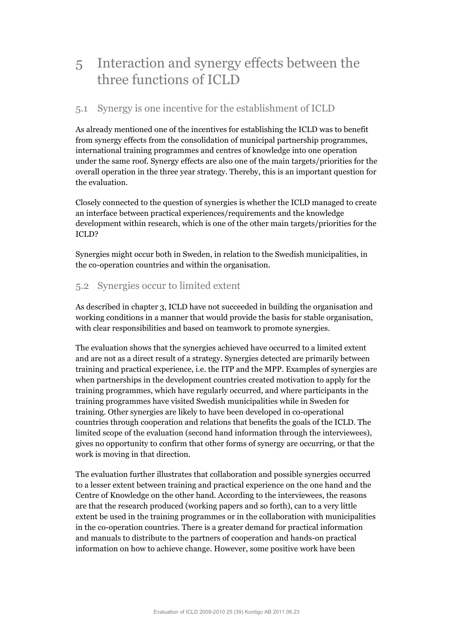# 5 Interaction and synergy effects between the three functions of ICLD

# 5.1 Synergy is one incentive for the establishment of ICLD

As already mentioned one of the incentives for establishing the ICLD was to benefit from synergy effects from the consolidation of municipal partnership programmes, international training programmes and centres of knowledge into one operation under the same roof. Synergy effects are also one of the main targets/priorities for the overall operation in the three year strategy. Thereby, this is an important question for the evaluation.

Closely connected to the question of synergies is whether the ICLD managed to create an interface between practical experiences/requirements and the knowledge development within research, which is one of the other main targets/priorities for the ICLD?

Synergies might occur both in Sweden, in relation to the Swedish municipalities, in the co-operation countries and within the organisation.

# 5.2 Synergies occur to limited extent

As described in chapter 3, ICLD have not succeeded in building the organisation and working conditions in a manner that would provide the basis for stable organisation, with clear responsibilities and based on teamwork to promote synergies.

The evaluation shows that the synergies achieved have occurred to a limited extent and are not as a direct result of a strategy. Synergies detected are primarily between training and practical experience, i.e. the ITP and the MPP. Examples of synergies are when partnerships in the development countries created motivation to apply for the training programmes, which have regularly occurred, and where participants in the training programmes have visited Swedish municipalities while in Sweden for training. Other synergies are likely to have been developed in co-operational countries through cooperation and relations that benefits the goals of the ICLD. The limited scope of the evaluation (second hand information through the interviewees), gives no opportunity to confirm that other forms of synergy are occurring, or that the work is moving in that direction.

The evaluation further illustrates that collaboration and possible synergies occurred to a lesser extent between training and practical experience on the one hand and the Centre of Knowledge on the other hand. According to the interviewees, the reasons are that the research produced (working papers and so forth), can to a very little extent be used in the training programmes or in the collaboration with municipalities in the co-operation countries. There is a greater demand for practical information and manuals to distribute to the partners of cooperation and hands-on practical information on how to achieve change. However, some positive work have been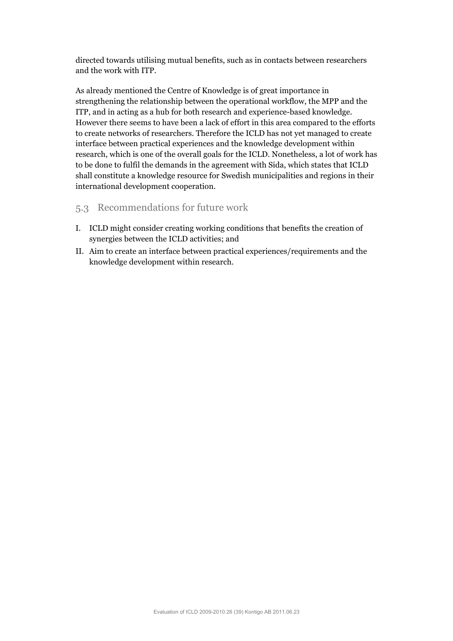directed towards utilising mutual benefits, such as in contacts between researchers and the work with ITP.

As already mentioned the Centre of Knowledge is of great importance in strengthening the relationship between the operational workflow, the MPP and the ITP, and in acting as a hub for both research and experience-based knowledge. However there seems to have been a lack of effort in this area compared to the efforts to create networks of researchers. Therefore the ICLD has not yet managed to create interface between practical experiences and the knowledge development within research, which is one of the overall goals for the ICLD. Nonetheless, a lot of work has to be done to fulfil the demands in the agreement with Sida, which states that ICLD shall constitute a knowledge resource for Swedish municipalities and regions in their international development cooperation.

### 5.3 Recommendations for future work

- I. ICLD might consider creating working conditions that benefits the creation of synergies between the ICLD activities; and
- II. Aim to create an interface between practical experiences/requirements and the knowledge development within research.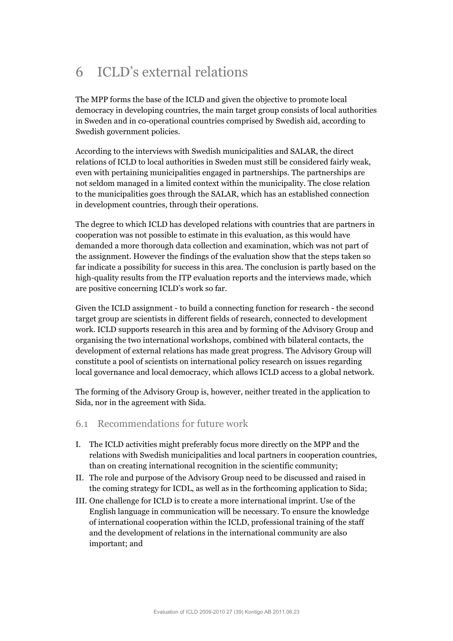# 6 ICLD's external relations

The MPP forms the base of the ICLD and given the objective to promote local democracy in developing countries, the main target group consists of local authorities in Sweden and in co-operational countries comprised by Swedish aid, according to Swedish government policies.

According to the interviews with Swedish municipalities and SALAR, the direct relations of ICLD to local authorities in Sweden must still be considered fairly weak, even with pertaining municipalities engaged in partnerships. The partnerships are not seldom managed in a limited context within the municipality. The close relation to the municipalities goes through the SALAR, which has an established connection in development countries, through their operations.

The degree to which ICLD has developed relations with countries that are partners in cooperation was not possible to estimate in this evaluation, as this would have demanded a more thorough data collection and examination, which was not part of the assignment. However the findings of the evaluation show that the steps taken so far indicate a possibility for success in this area. The conclusion is partly based on the high-quality results from the ITP evaluation reports and the interviews made, which are positive concerning ICLD's work so far.

Given the ICLD assignment - to build a connecting function for research - the second target group are scientists in different fields of research, connected to development work. ICLD supports research in this area and by forming of the Advisory Group and organising the two international workshops, combined with bilateral contacts, the development of external relations has made great progress. The Advisory Group will constitute a pool of scientists on international policy research on issues regarding local governance and local democracy, which allows ICLD access to a global network.

The forming of the Advisory Group is, however, neither treated in the application to Sida, nor in the agreement with Sida.

- 6.1 Recommendations for future work
- I. The ICLD activities might preferably focus more directly on the MPP and the relations with Swedish municipalities and local partners in cooperation countries, than on creating international recognition in the scientific community;
- II. The role and purpose of the Advisory Group need to be discussed and raised in the coming strategy for ICDL, as well as in the forthcoming application to Sida;
- III. One challenge for ICLD is to create a more international imprint. Use of the English language in communication will be necessary. To ensure the knowledge of international cooperation within the ICLD, professional training of the staff and the development of relations in the international community are also important; and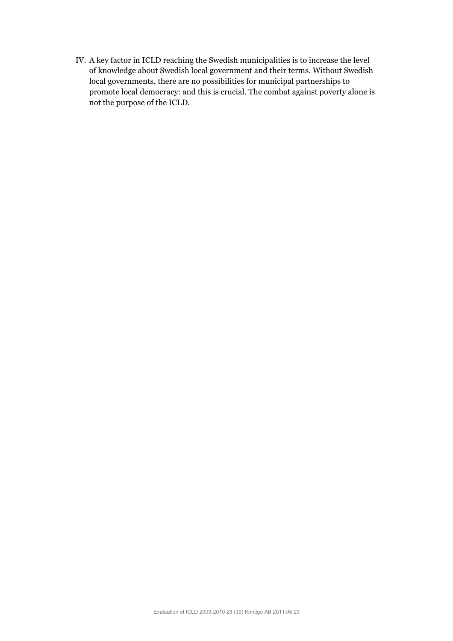IV. A key factor in ICLD reaching the Swedish municipalities is to increase the level of knowledge about Swedish local government and their terms. Without Swedish local governments, there are no possibilities for municipal partnerships to promote local democracy: and this is crucial. The combat against poverty alone is not the purpose of the ICLD.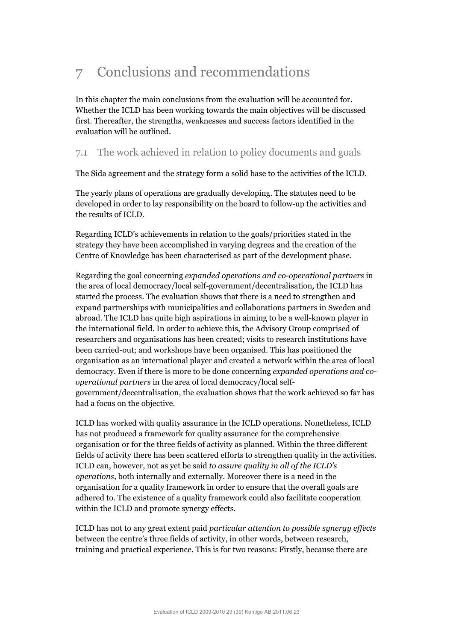# 7 Conclusions and recommendations

In this chapter the main conclusions from the evaluation will be accounted for. Whether the ICLD has been working towards the main objectives will be discussed first. Thereafter, the strengths, weaknesses and success factors identified in the evaluation will be outlined.

# 7.1 The work achieved in relation to policy documents and goals

The Sida agreement and the strategy form a solid base to the activities of the ICLD.

The yearly plans of operations are gradually developing. The statutes need to be developed in order to lay responsibility on the board to follow-up the activities and the results of ICLD.

Regarding ICLD's achievements in relation to the goals/priorities stated in the strategy they have been accomplished in varying degrees and the creation of the Centre of Knowledge has been characterised as part of the development phase.

Regarding the goal concerning *expanded operations and co-operational partners* in the area of local democracy/local self-government/decentralisation*,* the ICLD has started the process. The evaluation shows that there is a need to strengthen and expand partnerships with municipalities and collaborations partners in Sweden and abroad. The ICLD has quite high aspirations in aiming to be a well-known player in the international field. In order to achieve this, the Advisory Group comprised of researchers and organisations has been created; visits to research institutions have been carried-out; and workshops have been organised. This has positioned the organisation as an international player and created a network within the area of local democracy. Even if there is more to be done concerning *expanded operations and cooperational partners* in the area of local democracy/local selfgovernment/decentralisation, the evaluation shows that the work achieved so far has had a focus on the objective.

ICLD has worked with quality assurance in the ICLD operations. Nonetheless, ICLD has not produced a framework for quality assurance for the comprehensive organisation or for the three fields of activity as planned. Within the three different fields of activity there has been scattered efforts to strengthen quality in the activities. ICLD can, however, not as yet be said *to assure quality in all of the ICLD's operations*, both internally and externally. Moreover there is a need in the organisation for a quality framework in order to ensure that the overall goals are adhered to. The existence of a quality framework could also facilitate cooperation within the ICLD and promote synergy effects.

ICLD has not to any great extent paid *particular attention to possible synergy effects*  between the centre's three fields of activity, in other words, between research, training and practical experience. This is for two reasons: Firstly, because there are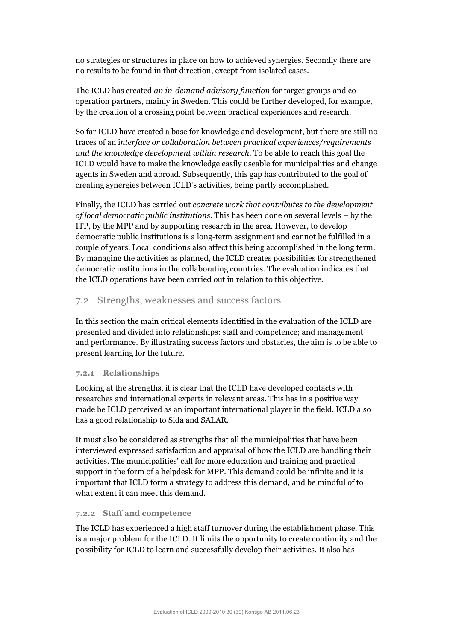no strategies or structures in place on how to achieved synergies. Secondly there are no results to be found in that direction, except from isolated cases.

The ICLD has created *an in-demand advisory function* for target groups and cooperation partners, mainly in Sweden. This could be further developed, for example, by the creation of a crossing point between practical experiences and research.

So far ICLD have created a base for knowledge and development, but there are still no traces of an i*nterface or collaboration between practical experiences/requirements and the knowledge development within research*. To be able to reach this goal the ICLD would have to make the knowledge easily useable for municipalities and change agents in Sweden and abroad. Subsequently, this gap has contributed to the goal of creating synergies between ICLD's activities, being partly accomplished.

Finally, the ICLD has carried out *concrete work that contributes to the development of local democratic public institutions*. This has been done on several levels – by the ITP, by the MPP and by supporting research in the area. However, to develop democratic public institutions is a long-term assignment and cannot be fulfilled in a couple of years. Local conditions also affect this being accomplished in the long term. By managing the activities as planned, the ICLD creates possibilities for strengthened democratic institutions in the collaborating countries. The evaluation indicates that the ICLD operations have been carried out in relation to this objective.

### 7.2 Strengths, weaknesses and success factors

In this section the main critical elements identified in the evaluation of the ICLD are presented and divided into relationships: staff and competence; and management and performance. By illustrating success factors and obstacles, the aim is to be able to present learning for the future.

#### **7.2.1 Relationships**

Looking at the strengths, it is clear that the ICLD have developed contacts with researches and international experts in relevant areas. This has in a positive way made be ICLD perceived as an important international player in the field. ICLD also has a good relationship to Sida and SALAR.

It must also be considered as strengths that all the municipalities that have been interviewed expressed satisfaction and appraisal of how the ICLD are handling their activities. The municipalities' call for more education and training and practical support in the form of a helpdesk for MPP. This demand could be infinite and it is important that ICLD form a strategy to address this demand, and be mindful of to what extent it can meet this demand.

#### **7.2.2 Staff and competence**

The ICLD has experienced a high staff turnover during the establishment phase. This is a major problem for the ICLD. It limits the opportunity to create continuity and the possibility for ICLD to learn and successfully develop their activities. It also has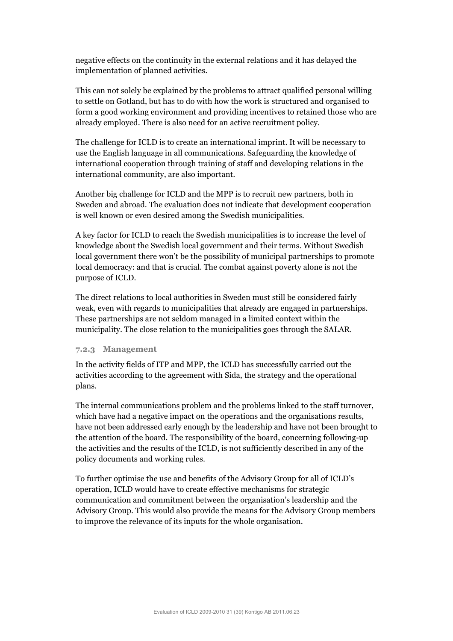negative effects on the continuity in the external relations and it has delayed the implementation of planned activities.

This can not solely be explained by the problems to attract qualified personal willing to settle on Gotland, but has to do with how the work is structured and organised to form a good working environment and providing incentives to retained those who are already employed. There is also need for an active recruitment policy.

The challenge for ICLD is to create an international imprint. It will be necessary to use the English language in all communications. Safeguarding the knowledge of international cooperation through training of staff and developing relations in the international community, are also important.

Another big challenge for ICLD and the MPP is to recruit new partners, both in Sweden and abroad. The evaluation does not indicate that development cooperation is well known or even desired among the Swedish municipalities.

A key factor for ICLD to reach the Swedish municipalities is to increase the level of knowledge about the Swedish local government and their terms. Without Swedish local government there won't be the possibility of municipal partnerships to promote local democracy: and that is crucial. The combat against poverty alone is not the purpose of ICLD.

The direct relations to local authorities in Sweden must still be considered fairly weak, even with regards to municipalities that already are engaged in partnerships. These partnerships are not seldom managed in a limited context within the municipality. The close relation to the municipalities goes through the SALAR.

#### **7.2.3 Management**

In the activity fields of ITP and MPP, the ICLD has successfully carried out the activities according to the agreement with Sida, the strategy and the operational plans.

The internal communications problem and the problems linked to the staff turnover, which have had a negative impact on the operations and the organisations results, have not been addressed early enough by the leadership and have not been brought to the attention of the board. The responsibility of the board, concerning following-up the activities and the results of the ICLD, is not sufficiently described in any of the policy documents and working rules.

To further optimise the use and benefits of the Advisory Group for all of ICLD's operation, ICLD would have to create effective mechanisms for strategic communication and commitment between the organisation's leadership and the Advisory Group. This would also provide the means for the Advisory Group members to improve the relevance of its inputs for the whole organisation.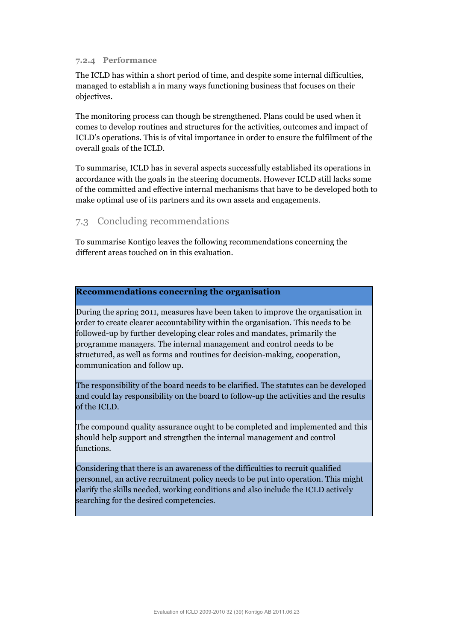#### **7.2.4 Performance**

The ICLD has within a short period of time, and despite some internal difficulties, managed to establish a in many ways functioning business that focuses on their objectives.

The monitoring process can though be strengthened. Plans could be used when it comes to develop routines and structures for the activities, outcomes and impact of ICLD's operations. This is of vital importance in order to ensure the fulfilment of the overall goals of the ICLD.

To summarise, ICLD has in several aspects successfully established its operations in accordance with the goals in the steering documents. However ICLD still lacks some of the committed and effective internal mechanisms that have to be developed both to make optimal use of its partners and its own assets and engagements.

### 7.3 Concluding recommendations

To summarise Kontigo leaves the following recommendations concerning the different areas touched on in this evaluation.

#### **Recommendations concerning the organisation**

During the spring 2011, measures have been taken to improve the organisation in order to create clearer accountability within the organisation. This needs to be followed-up by further developing clear roles and mandates, primarily the programme managers. The internal management and control needs to be structured, as well as forms and routines for decision-making, cooperation, communication and follow up.

The responsibility of the board needs to be clarified. The statutes can be developed and could lay responsibility on the board to follow-up the activities and the results of the ICLD.

The compound quality assurance ought to be completed and implemented and this should help support and strengthen the internal management and control functions.

Considering that there is an awareness of the difficulties to recruit qualified personnel, an active recruitment policy needs to be put into operation. This might clarify the skills needed, working conditions and also include the ICLD actively searching for the desired competencies.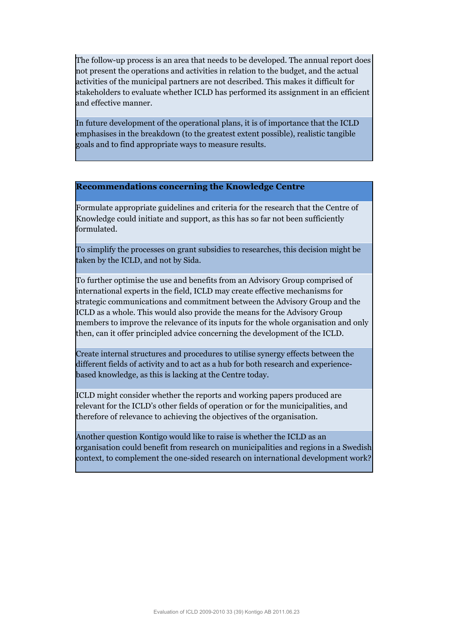The follow-up process is an area that needs to be developed. The annual report does not present the operations and activities in relation to the budget, and the actual activities of the municipal partners are not described. This makes it difficult for stakeholders to evaluate whether ICLD has performed its assignment in an efficient and effective manner.

In future development of the operational plans, it is of importance that the ICLD emphasises in the breakdown (to the greatest extent possible), realistic tangible goals and to find appropriate ways to measure results.

#### **Recommendations concerning the Knowledge Centre**

Formulate appropriate guidelines and criteria for the research that the Centre of Knowledge could initiate and support, as this has so far not been sufficiently formulated.

To simplify the processes on grant subsidies to researches, this decision might be taken by the ICLD, and not by Sida.

To further optimise the use and benefits from an Advisory Group comprised of international experts in the field, ICLD may create effective mechanisms for strategic communications and commitment between the Advisory Group and the ICLD as a whole. This would also provide the means for the Advisory Group members to improve the relevance of its inputs for the whole organisation and only then, can it offer principled advice concerning the development of the ICLD.

Create internal structures and procedures to utilise synergy effects between the different fields of activity and to act as a hub for both research and experiencebased knowledge, as this is lacking at the Centre today.

ICLD might consider whether the reports and working papers produced are relevant for the ICLD's other fields of operation or for the municipalities, and therefore of relevance to achieving the objectives of the organisation.

Another question Kontigo would like to raise is whether the ICLD as an organisation could benefit from research on municipalities and regions in a Swedish context, to complement the one-sided research on international development work?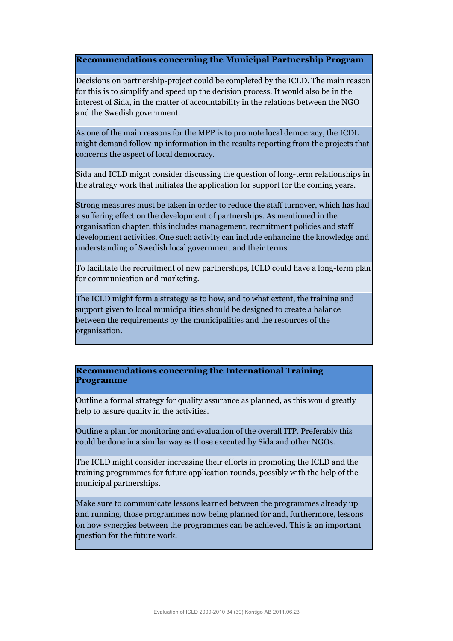**Recommendations concerning the Municipal Partnership Program**

Decisions on partnership-project could be completed by the ICLD. The main reason for this is to simplify and speed up the decision process. It would also be in the interest of Sida, in the matter of accountability in the relations between the NGO and the Swedish government.

As one of the main reasons for the MPP is to promote local democracy, the ICDL might demand follow-up information in the results reporting from the projects that concerns the aspect of local democracy.

Sida and ICLD might consider discussing the question of long-term relationships in the strategy work that initiates the application for support for the coming years.

Strong measures must be taken in order to reduce the staff turnover, which has had a suffering effect on the development of partnerships. As mentioned in the organisation chapter, this includes management, recruitment policies and staff development activities. One such activity can include enhancing the knowledge and understanding of Swedish local government and their terms.

To facilitate the recruitment of new partnerships, ICLD could have a long-term plan for communication and marketing.

The ICLD might form a strategy as to how, and to what extent, the training and support given to local municipalities should be designed to create a balance between the requirements by the municipalities and the resources of the organisation.

#### **Recommendations concerning the International Training Programme**

Outline a formal strategy for quality assurance as planned, as this would greatly help to assure quality in the activities.

Outline a plan for monitoring and evaluation of the overall ITP. Preferably this could be done in a similar way as those executed by Sida and other NGOs.

The ICLD might consider increasing their efforts in promoting the ICLD and the training programmes for future application rounds, possibly with the help of the municipal partnerships.

Make sure to communicate lessons learned between the programmes already up and running, those programmes now being planned for and, furthermore, lessons on how synergies between the programmes can be achieved. This is an important question for the future work.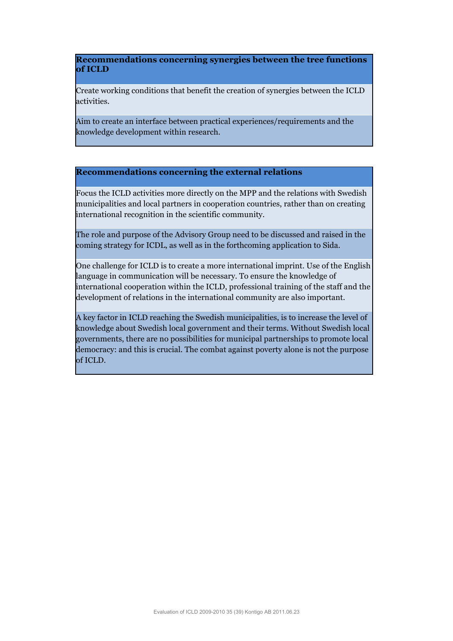#### **Recommendations concerning synergies between the tree functions of ICLD**

Create working conditions that benefit the creation of synergies between the ICLD activities.

Aim to create an interface between practical experiences/requirements and the knowledge development within research.

#### **Recommendations concerning the external relations**

Focus the ICLD activities more directly on the MPP and the relations with Swedish municipalities and local partners in cooperation countries, rather than on creating international recognition in the scientific community.

The role and purpose of the Advisory Group need to be discussed and raised in the coming strategy for ICDL, as well as in the forthcoming application to Sida.

One challenge for ICLD is to create a more international imprint. Use of the English language in communication will be necessary. To ensure the knowledge of international cooperation within the ICLD, professional training of the staff and the development of relations in the international community are also important.

A key factor in ICLD reaching the Swedish municipalities, is to increase the level of knowledge about Swedish local government and their terms. Without Swedish local governments, there are no possibilities for municipal partnerships to promote local democracy: and this is crucial. The combat against poverty alone is not the purpose of ICLD.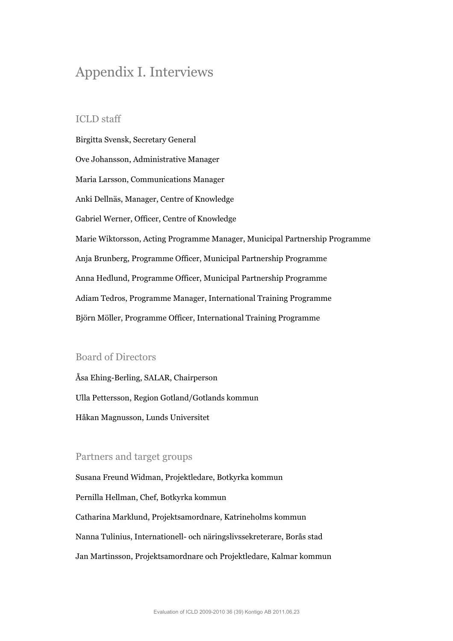# Appendix I. Interviews

#### ICLD staff

Birgitta Svensk, Secretary General Ove Johansson, Administrative Manager Maria Larsson, Communications Manager Anki Dellnäs, Manager, Centre of Knowledge Gabriel Werner, Officer, Centre of Knowledge Marie Wiktorsson, Acting Programme Manager, Municipal Partnership Programme Anja Brunberg, Programme Officer, Municipal Partnership Programme Anna Hedlund, Programme Officer, Municipal Partnership Programme Adiam Tedros, Programme Manager, International Training Programme Björn Möller, Programme Officer, International Training Programme

### Board of Directors

Åsa Ehing-Berling, SALAR, Chairperson Ulla Pettersson, Region Gotland/Gotlands kommun Håkan Magnusson, Lunds Universitet

### Partners and target groups

Susana Freund Widman, Projektledare, Botkyrka kommun Pernilla Hellman, Chef, Botkyrka kommun Catharina Marklund, Projektsamordnare, Katrineholms kommun Nanna Tulinius, Internationell- och näringslivssekreterare, Borås stad Jan Martinsson, Projektsamordnare och Projektledare, Kalmar kommun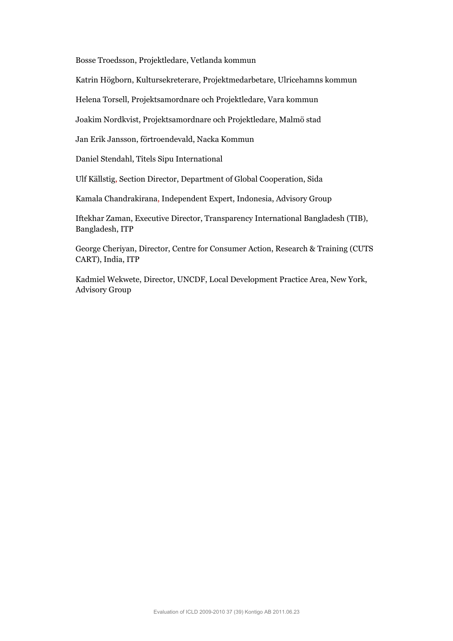Bosse Troedsson, Projektledare, Vetlanda kommun

Katrin Högborn, Kultursekreterare, Projektmedarbetare, Ulricehamns kommun

Helena Torsell, Projektsamordnare och Projektledare, Vara kommun

Joakim Nordkvist, Projektsamordnare och Projektledare, Malmö stad

Jan Erik Jansson, förtroendevald, Nacka Kommun

Daniel Stendahl, Titels Sipu International

Ulf Källstig, Section Director, Department of Global Cooperation, Sida

Kamala Chandrakirana, Independent Expert, Indonesia, Advisory Group

Iftekhar Zaman, Executive Director, Transparency International Bangladesh (TIB), Bangladesh, ITP

George Cheriyan, Director, Centre for Consumer Action, Research & Training (CUTS CART), India, ITP

Kadmiel Wekwete, Director, UNCDF, Local Development Practice Area, New York, Advisory Group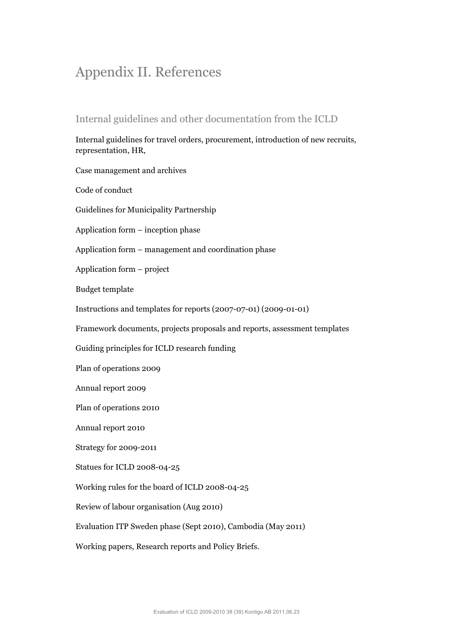# Appendix II. References

# Internal guidelines and other documentation from the ICLD

Internal guidelines for travel orders, procurement, introduction of new recruits, representation, HR,

Case management and archives

Code of conduct

Guidelines for Municipality Partnership

Application form – inception phase

Application form – management and coordination phase

Application form – project

Budget template

Instructions and templates for reports (2007-07-01) (2009-01-01)

Framework documents, projects proposals and reports, assessment templates

Guiding principles for ICLD research funding

Plan of operations 2009

Annual report 2009

Plan of operations 2010

Annual report 2010

Strategy for 2009-2011

Statues for ICLD 2008-04-25

Working rules for the board of ICLD 2008-04-25

Review of labour organisation (Aug 2010)

Evaluation ITP Sweden phase (Sept 2010), Cambodia (May 2011)

Working papers, Research reports and Policy Briefs.